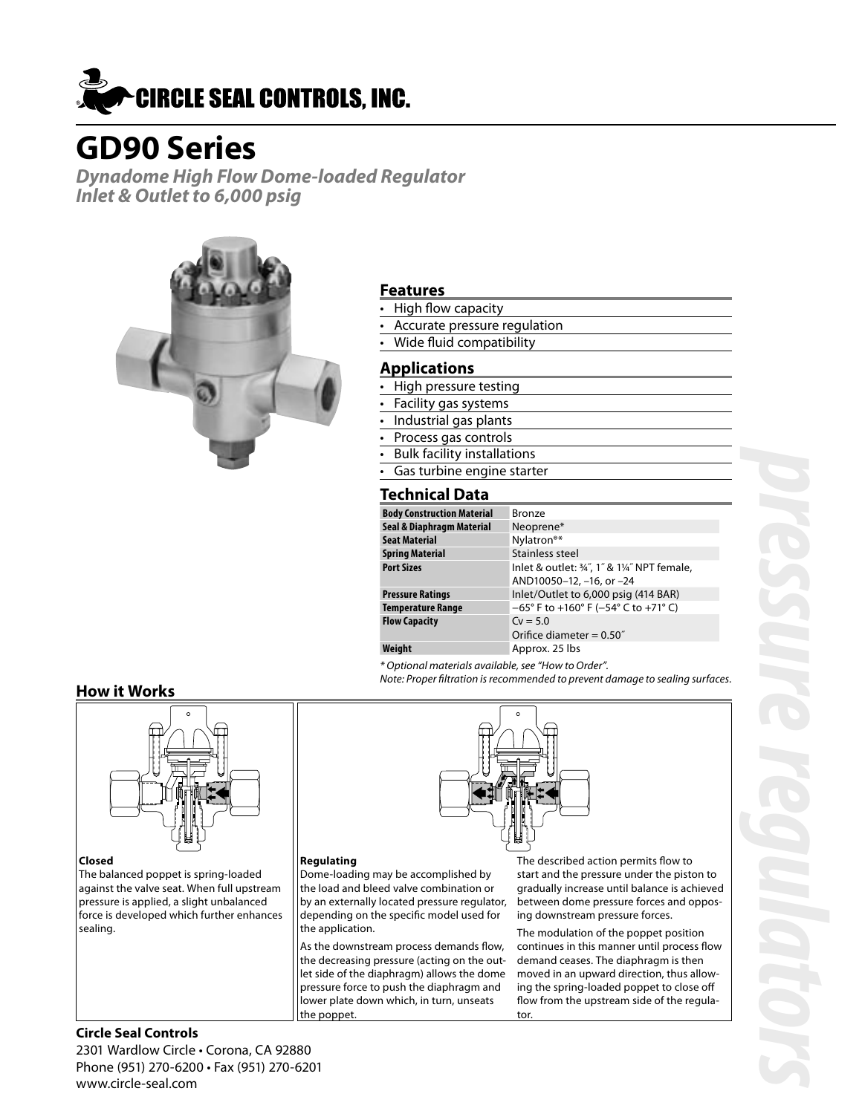

# **GD90 Series**

**Dynadome High Flow Dome-loaded Regulator Inlet & Outlet to 6,000 psig**



## **Features**

- High flow capacity
- Accurate pressure regulation
- Wide fluid compatibility

## **Applications**

- High pressure testing
- Facility gas systems
- Industrial gas plants
- Process gas controls
- Bulk facility installations
- Gas turbine engine starter

## **Technical Data**

| <b>Body Construction Material</b> | <b>Bronze</b>                                 |
|-----------------------------------|-----------------------------------------------|
| Seal & Diaphragm Material         | Neoprene*                                     |
| <b>Seat Material</b>              | Nylatron <sup>®*</sup>                        |
| <b>Spring Material</b>            | Stainless steel                               |
| <b>Port Sizes</b>                 | Inlet & outlet: 34", 1" & 114" NPT female,    |
|                                   | AND10050-12, -16, or -24                      |
| <b>Pressure Ratings</b>           | Inlet/Outlet to 6,000 psig (414 BAR)          |
| <b>Temperature Range</b>          | $-65^{\circ}$ F to +160° F (-54° C to +71° C) |
| <b>Flow Capacity</b>              | $Cv = 5.0$                                    |
|                                   | Orifice diameter = $0.50$ "                   |
| Weight                            | Approx. 25 lbs                                |

\* Optional materials available, see "How to Order".

Note: Proper filtration is recommended to prevent damage to sealing surfaces.

## **How it Works**



#### **Closed**

The balanced poppet is spring-loaded against the valve seat. When full upstream pressure is applied, a slight unbalanced force is developed which further enhances sealing.

#### **Regulating**

Dome-loading may be accomplished by the load and bleed valve combination or by an externally located pressure regulator, depending on the specific model used for the application.

As the downstream process demands flow, the decreasing pressure (acting on the outlet side of the diaphragm) allows the dome pressure force to push the diaphragm and lower plate down which, in turn, unseats the poppet.

The described action permits flow to start and the pressure under the piston to gradually increase until balance is achieved between dome pressure forces and opposing downstream pressure forces.

The modulation of the poppet position continues in this manner until process flow demand ceases. The diaphragm is then moved in an upward direction, thus allowing the spring-loaded poppet to close off flow from the upstream side of the regulator.

2301 Wardlow Circle • Corona, CA 92880 Phone (951) 270-6200 • Fax (951) 270-6201 www.circle-seal.com